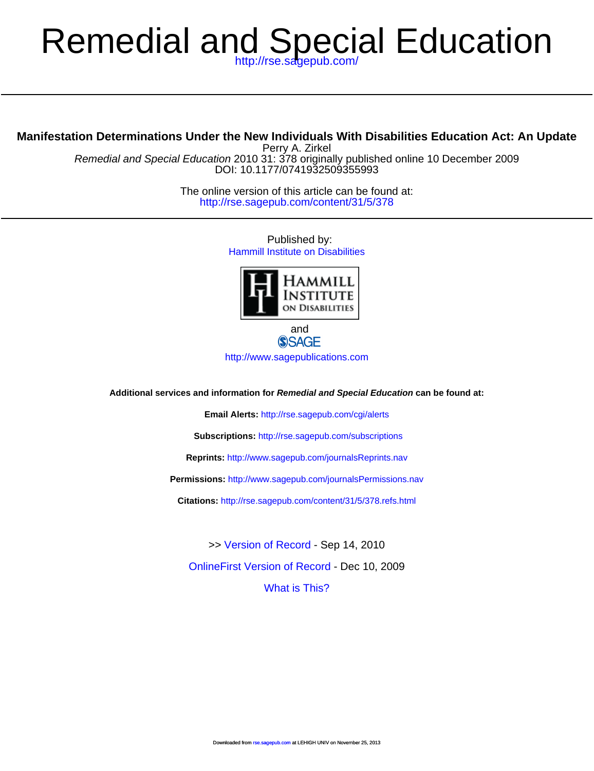# Remedial and [Special](http://rse.sagepub.com/cgi/alerts) Education

## **Manifestation Determinations Under [the New Individuals With Disabilit](http://www.sagepub.com/journalsReprints.nav)ies Education Act: An Update**

D[OI: 10.1177/0741932509355993](http://www.sagepub.com/journalsPermissions.nav) Remedial and Special Education 2010 31: 378 originally published online 10 December 2009 Perry A. Zirkel

> <http://rse.sagepub.com/content/31/5/378> The online version of this article can be found at:

> > Published by: [Hammill Institute on Disabilities](http://www.hammill-institute.org/)



[and](http://rse.sagepub.com/content/early/2009/12/10/0741932509355993.full.pdf) **SSAGE** <http://www.sagepublications.com>

**Additional services and information for Remedial and Special Education can be found at:**

**Email Alerts:** <http://rse.sagepub.com/cgi/alerts>

**Subscriptions:** <http://rse.sagepub.com/subscriptions>

**Reprints:** <http://www.sagepub.com/journalsReprints.nav>

**Permissions:** <http://www.sagepub.com/journalsPermissions.nav>

**Citations:** <http://rse.sagepub.com/content/31/5/378.refs.html>

[What is This?](http://online.sagepub.com/site/sphelp/vorhelp.xhtml) [OnlineFirst Version of Record](http://rse.sagepub.com/content/early/2009/12/10/0741932509355993.full.pdf) - Dec 10, 2009 >> [Version of Record -](http://rse.sagepub.com/content/31/5/378.full.pdf) Sep 14, 2010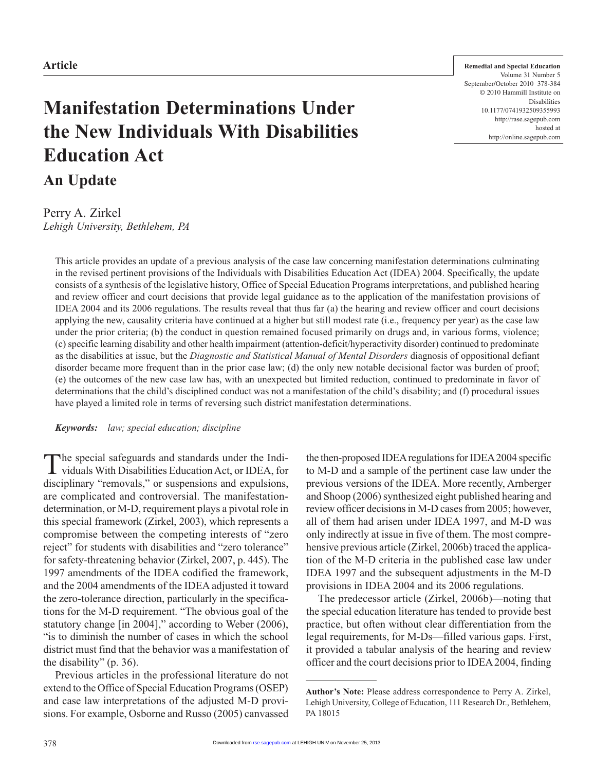# **Manifestation Determinations Under the New Individuals With Disabilities Education Act An Update**

Perry A. Zirkel *Lehigh University, Bethlehem, PA* **Remedial and Special Education** Volume 31 Number 5 September/October 2010 378-384 © 2010 Hammill Institute on Disabilities 10.1177/0741932509355993 http://rase.sagepub.com hosted at http://online.sagepub.com

This article provides an update of a previous analysis of the case law concerning manifestation determinations culminating in the revised pertinent provisions of the Individuals with Disabilities Education Act (IDEA) 2004. Specifically, the update consists of a synthesis of the legislative history, Office of Special Education Programs interpretations, and published hearing and review officer and court decisions that provide legal guidance as to the application of the manifestation provisions of IDEA 2004 and its 2006 regulations. The results reveal that thus far (a) the hearing and review officer and court decisions applying the new, causality criteria have continued at a higher but still modest rate (i.e., frequency per year) as the case law under the prior criteria; (b) the conduct in question remained focused primarily on drugs and, in various forms, violence; (c) specific learning disability and other health impairment (attention-deficit/hyperactivity disorder) continued to predominate as the disabilities at issue, but the *Diagnostic and Statistical Manual of Mental Disorders* diagnosis of oppositional defiant disorder became more frequent than in the prior case law; (d) the only new notable decisional factor was burden of proof; (e) the outcomes of the new case law has, with an unexpected but limited reduction, continued to predominate in favor of determinations that the child's disciplined conduct was not a manifestation of the child's disability; and (f) procedural issues have played a limited role in terms of reversing such district manifestation determinations.

#### *Keywords: law; special education; discipline*

The special safeguards and standards under the Individuals With Disabilities Education Act, or IDEA, for disciplinary "removals," or suspensions and expulsions, are complicated and controversial. The manifestationdetermination, or M-D, requirement plays a pivotal role in this special framework (Zirkel, 2003), which represents a compromise between the competing interests of "zero reject" for students with disabilities and "zero tolerance" for safety-threatening behavior (Zirkel, 2007, p. 445). The 1997 amendments of the IDEA codified the framework, and the 2004 amendments of the IDEA adjusted it toward the zero-tolerance direction, particularly in the specifications for the M-D requirement. "The obvious goal of the statutory change [in 2004]," according to Weber (2006), "is to diminish the number of cases in which the school district must find that the behavior was a manifestation of the disability" (p. 36).

Previous articles in the professional literature do not extend to the Office of Special Education Programs (OSEP) and case law interpretations of the adjusted M-D provisions. For example, Osborne and Russo (2005) canvassed

the then-proposed IDEA regulations for IDEA 2004 specific to M-D and a sample of the pertinent case law under the previous versions of the IDEA. More recently, Arnberger and Shoop (2006) synthesized eight published hearing and review officer decisions in M-D cases from 2005; however, all of them had arisen under IDEA 1997, and M-D was only indirectly at issue in five of them. The most comprehensive previous article (Zirkel, 2006b) traced the application of the M-D criteria in the published case law under IDEA 1997 and the subsequent adjustments in the M-D provisions in IDEA 2004 and its 2006 regulations.

The predecessor article (Zirkel, 2006b)—noting that the special education literature has tended to provide best practice, but often without clear differentiation from the legal requirements, for M-Ds—filled various gaps. First, it provided a tabular analysis of the hearing and review officer and the court decisions prior to IDEA 2004, finding

**Author's Note:** Please address correspondence to Perry A. Zirkel, Lehigh University, College of Education, 111 Research Dr., Bethlehem, PA [18015](http://rse.sagepub.com/)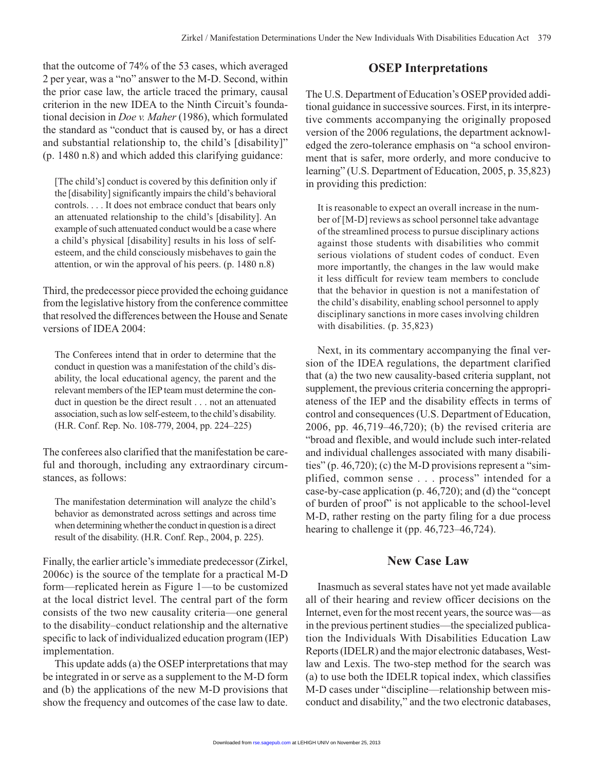that the outcome of 74% of the 53 cases, which averaged 2 per year, was a "no" answer to the M-D. Second, within the prior case law, the article traced the primary, causal criterion in the new IDEA to the Ninth Circuit's foundational decision in *Doe v. Maher* (1986), which formulated the standard as "conduct that is caused by, or has a direct and substantial relationship to, the child's [disability]" (p. 1480 n.8) and which added this clarifying guidance:

[The child's] conduct is covered by this definition only if the [disability] significantly impairs the child's behavioral controls. . . . It does not embrace conduct that bears only an attenuated relationship to the child's [disability]. An example of such attenuated conduct would be a case where a child's physical [disability] results in his loss of selfesteem, and the child consciously misbehaves to gain the attention, or win the approval of his peers. (p. 1480 n.8)

Third, the predecessor piece provided the echoing guidance from the legislative history from the conference committee that resolved the differences between the House and Senate versions of IDEA 2004:

The Conferees intend that in order to determine that the conduct in question was a manifestation of the child's disability, the local educational agency, the parent and the relevant members of the IEP team must determine the conduct in question be the direct result . . . not an attenuated association, such as low self-esteem, to the child's disability. (H.R. Conf. Rep. No. 108-779, 2004, pp. 224–225)

The conferees also clarified that the manifestation be careful and thorough, including any extraordinary circumstances, as follows:

The manifestation determination will analyze the child's behavior as demonstrated across settings and across time when determining whether the conduct in question is a direct result of the disability. (H.R. Conf. Rep., 2004, p. 225).

Finally, the earlier article's immediate predecessor (Zirkel, 2006c) is the source of the template for a practical M-D form—replicated herein as Figure 1—to be customized at the local district level. The central part of the form consists of the two new causality criteria—one general to the disability–conduct relationship and the alternative specific to lack of individualized education program (IEP) implementation.

This update adds (a) the OSEP interpretations that may be integrated in or serve as a supplement to the M-D form and (b) the applications of the new M-D provisions that show the frequency and outcomes of the case law to date.

### **OSEP Interpretations**

The U.S. Department of Education's OSEP provided additional guidance in successive sources. First, in its interpretive comments accompanying the originally proposed version of the 2006 regulations, the department acknowledged the zero-tolerance emphasis on "a school environment that is safer, more orderly, and more conducive to learning" (U.S. Department of Education, 2005, p. 35,823) in providing this prediction:

It is reasonable to expect an overall increase in the number of [M-D] reviews as school personnel take advantage of the streamlined process to pursue disciplinary actions against those students with disabilities who commit serious violations of student codes of conduct. Even more importantly, the changes in the law would make it less difficult for review team members to conclude that the behavior in question is not a manifestation of the child's disability, enabling school personnel to apply disciplinary sanctions in more cases involving children with disabilities. (p. 35,823)

Next, in its commentary accompanying the final version of the IDEA regulations, the department clarified that (a) the two new causality-based criteria supplant, not supplement, the previous criteria concerning the appropriateness of the IEP and the disability effects in terms of control and consequences (U.S. Department of Education, 2006, pp. 46,719–46,720); (b) the revised criteria are "broad and flexible, and would include such inter-related and individual challenges associated with many disabilities" (p. 46,720); (c) the M-D provisions represent a "simplified, common sense . . . process" intended for a case-by-case application (p. 46,720); and (d) the "concept of burden of proof" is not applicable to the school-level M-D, rather resting on the party filing for a due process hearing to challenge it (pp. 46,723–46,724).

### **New Case Law**

Inasmuch as several states have not yet made available all of their hearing and review officer decisions on the Internet, even for the most recent years, the source was—as in the previous pertinent studies—the specialized publication the Individuals With Disabilities Education Law Reports (IDELR) and the major electronic databases, Westlaw and Lexis. The two-step method for the search was (a) to use both the IDELR topical index, which classifies M-D cases under "discipline—relationship between misconduct and disability," and the two electronic databases,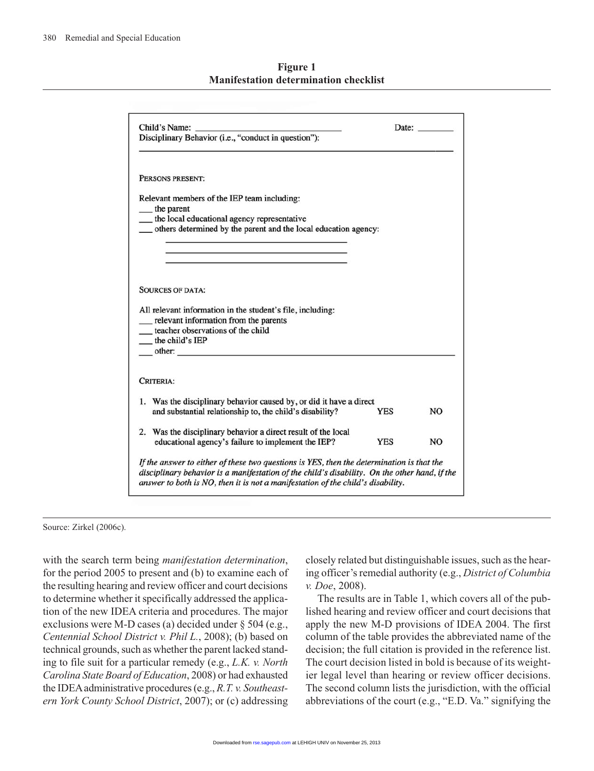**Figure 1 Manifestation determination checklist**

| Child's Name:                                                                                                                                                                              |            | Date:          |
|--------------------------------------------------------------------------------------------------------------------------------------------------------------------------------------------|------------|----------------|
| Disciplinary Behavior (i.e., "conduct in question"):                                                                                                                                       |            |                |
| PERSONS PRESENT:                                                                                                                                                                           |            |                |
| Relevant members of the IEP team including:                                                                                                                                                |            |                |
| the parent                                                                                                                                                                                 |            |                |
| the local educational agency representative                                                                                                                                                |            |                |
| others determined by the parent and the local education agency:                                                                                                                            |            |                |
|                                                                                                                                                                                            |            |                |
| the control of the control of the control of the control of the control of<br>the control of the control of the control of the control of the control of                                   |            |                |
|                                                                                                                                                                                            |            |                |
| <b>SOURCES OF DATA:</b>                                                                                                                                                                    |            |                |
|                                                                                                                                                                                            |            |                |
| All relevant information in the student's file, including:                                                                                                                                 |            |                |
| __ relevant information from the parents                                                                                                                                                   |            |                |
| teacher observations of the child                                                                                                                                                          |            |                |
|                                                                                                                                                                                            |            |                |
| the child's IEP                                                                                                                                                                            |            |                |
| other:                                                                                                                                                                                     |            |                |
| CRITERIA:                                                                                                                                                                                  |            |                |
|                                                                                                                                                                                            |            |                |
| 1. Was the disciplinary behavior caused by, or did it have a direct                                                                                                                        | <b>YES</b> | NO.            |
| and substantial relationship to, the child's disability?                                                                                                                                   |            |                |
| 2. Was the disciplinary behavior a direct result of the local                                                                                                                              |            |                |
| educational agency's failure to implement the IEP?                                                                                                                                         | <b>YES</b> | N <sub>O</sub> |
|                                                                                                                                                                                            |            |                |
| If the answer to either of these two questions is YES, then the determination is that the<br>disciplinary behavior is a manifestation of the child's disability. On the other hand, if the |            |                |

Source: Zirkel (2006c).

with the search term being *manifestation determination*, for the period 2005 to present and (b) to examine each of the resulting hearing and review officer and court decisions to determine whether it specifically addressed the application of the new IDEA criteria and procedures. The major exclusions were M-D cases (a) decided under § 504 (e.g., *Centennial School District v. Phil L.*, 2008); (b) based on technical grounds, such as whether the parent lacked standing to file suit for a particular remedy (e.g., *L.K. v. North Carolina State Board of Education*, 2008) or had exhausted the IDEA administrative procedures (e.g., *R.T. v. Southeastern York County School District*, 2007); or (c) addressing

closely related but distinguishable issues, such as the hearing officer's remedial authority (e.g., *District of Columbia v. Doe*, 2008).

The results are in Table 1, which covers all of the published hearing and review officer and court decisions that apply the new M-D provisions of IDEA 2004. The first column of the table provides the abbreviated name of the decision; the full citation is provided in the reference list. The court decision listed in bold is because of its weightier legal level than hearing or review officer decisions. The second column lists the jurisdiction, with the official abbreviations of the court (e.g., "E.D. Va." signifying the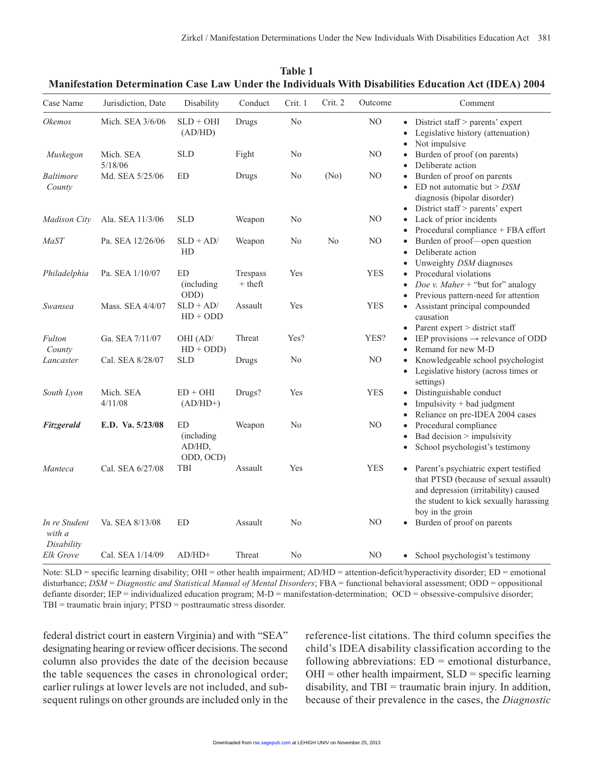| Case Name                             | Jurisdiction, Date   | Disability                              | Conduct               | Crit. 1 | Crit. 2           | Outcome        | Comment                                                                                                                                                                              |
|---------------------------------------|----------------------|-----------------------------------------|-----------------------|---------|-------------------|----------------|--------------------------------------------------------------------------------------------------------------------------------------------------------------------------------------|
| Okemos                                | Mich. SEA 3/6/06     | SLD + OHI<br>(AD/HD)                    | Drugs                 | No      |                   | N <sub>O</sub> | • District staff > parents' expert<br>Legislative history (attenuation)<br>Not impulsive                                                                                             |
| Muskegon                              | Mich. SEA<br>5/18/06 | <b>SLD</b>                              | Fight                 | No      |                   | N <sub>O</sub> | Burden of proof (on parents)<br>Deliberate action                                                                                                                                    |
| <i>Baltimore</i><br>County            | Md. SEA 5/25/06      | ED                                      | Drugs                 | No      | (N <sub>0</sub> ) | N <sub>O</sub> | Burden of proof on parents<br>$\bullet$<br>ED not automatic but $>$ DSM<br>$\bullet$<br>diagnosis (bipolar disorder)<br>District staff > parents' expert<br>$\bullet$                |
| Madison City                          | Ala. SEA 11/3/06     | <b>SLD</b>                              | Weapon                | No      |                   | N <sub>O</sub> | Lack of prior incidents<br>Procedural compliance + FBA effort<br>$\bullet$                                                                                                           |
| <b>MaST</b>                           | Pa. SEA 12/26/06     | $SLD + AD/$<br>HD                       | Weapon                | No      | No                | N <sub>O</sub> | Burden of proof—open question<br>Deliberate action<br>$\bullet$<br>Unweighty DSM diagnoses                                                                                           |
| Philadelphia                          | Pa. SEA 1/10/07      | ED<br>(including)<br>ODD)               | Trespass<br>$+$ theft | Yes     |                   | <b>YES</b>     | Procedural violations<br>Doe v. Maher + "but for" analogy<br>Previous pattern-need for attention                                                                                     |
| Swansea                               | Mass. SEA 4/4/07     | $SLD + AD/$<br>$HD + ODD$               | Assault               | Yes     |                   | <b>YES</b>     | Assistant principal compounded<br>causation<br>Parent expert > district staff                                                                                                        |
| Fulton<br>County                      | Ga. SEA 7/11/07      | OHI (AD/<br>$HD + ODD$                  | Threat                | Yes?    |                   | YES?           | IEP provisions $\rightarrow$ relevance of ODD<br>Remand for new M-D                                                                                                                  |
| Lancaster                             | Cal. SEA 8/28/07     | <b>SLD</b>                              | Drugs                 | No      |                   | N <sub>O</sub> | Knowledgeable school psychologist<br>$\bullet$<br>Legislative history (across times or<br>$\bullet$<br>settings)                                                                     |
| South Lyon                            | Mich. SEA<br>4/11/08 | $ED + OHI$<br>$(AD/HD+)$                | Drugs?                | Yes     |                   | <b>YES</b>     | Distinguishable conduct<br>Impulsivity + bad judgment<br>٠<br>Reliance on pre-IDEA 2004 cases                                                                                        |
| Fitzgerald                            | E.D. Va. 5/23/08     | ED<br>(including<br>AD/HD,<br>ODD, OCD) | Weapon                | No      |                   | N <sub>O</sub> | Procedural compliance<br>Bad decision > impulsivity<br>$\bullet$<br>School psychologist's testimony<br>$\bullet$                                                                     |
| Manteca                               | Cal. SEA 6/27/08     | TBI                                     | Assault               | Yes     |                   | <b>YES</b>     | Parent's psychiatric expert testified<br>that PTSD (because of sexual assault)<br>and depression (irritability) caused<br>the student to kick sexually harassing<br>boy in the groin |
| In re Student<br>with a<br>Disability | Va. SEA 8/13/08      | ED                                      | Assault               | No      |                   | N <sub>O</sub> | Burden of proof on parents<br>$\bullet$                                                                                                                                              |
| Elk Grove                             | Cal. SEA 1/14/09     | $AD/HD+$                                | Threat                | No      |                   | N <sub>O</sub> | • School psychologist's testimony                                                                                                                                                    |

| <b>Table 1</b>                                                                                         |
|--------------------------------------------------------------------------------------------------------|
| Manifestation Determination Case Law Under the Individuals With Disabilities Education Act (IDEA) 2004 |

Note: SLD = specific learning disability; OHI = other health impairment; AD/HD = attention-deficit/hyperactivity disorder; ED = emotional disturbance; *DSM* = *Diagnostic and Statistical Manual of Mental Disorders*; FBA = functional behavioral assessment; ODD = oppositional defiante disorder; IEP = individualized education program; M-D = manifestation-determination; OCD = obsessive-compulsive disorder; TBI = traumatic brain injury; PTSD = posttraumatic stress disorder.

federal district court in eastern Virginia) and with "SEA" designating hearing or review officer decisions. The second column also provides the date of the decision because the table sequences the cases in chronological order; earlier rulings at lower levels are not included, and subsequent rulings on other grounds are included only in the

reference-list citations. The third column specifies the child's IDEA disability classification according to the following abbreviations:  $ED =$  emotional disturbance,  $OHI = other health impairment, SLD = specific learning$ disability, and TBI = traumatic brain injury. In addition, because of their prevalence in the cases, the *Diagnostic*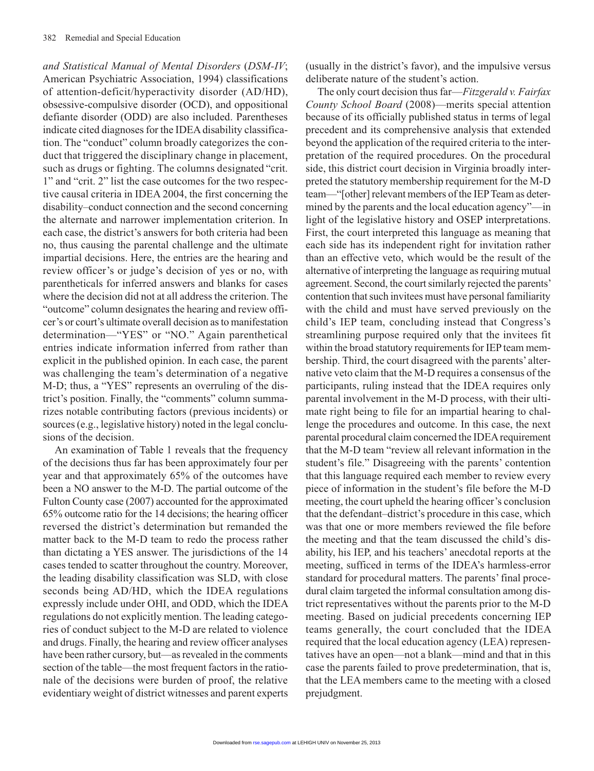*and Statistical Manual of Mental Disorders* (*DSM-IV*; American Psychiatric Association, 1994) classifications of attention-deficit/hyperactivity disorder (AD/HD), obsessive-compulsive disorder (OCD), and oppositional defiante disorder (ODD) are also included. Parentheses indicate cited diagnoses for the IDEA disability classification. The "conduct" column broadly categorizes the conduct that triggered the disciplinary change in placement, such as drugs or fighting. The columns designated "crit. 1" and "crit. 2" list the case outcomes for the two respective causal criteria in IDEA 2004, the first concerning the disability–conduct connection and the second concerning the alternate and narrower implementation criterion. In each case, the district's answers for both criteria had been no, thus causing the parental challenge and the ultimate impartial decisions. Here, the entries are the hearing and review officer's or judge's decision of yes or no, with parentheticals for inferred answers and blanks for cases where the decision did not at all address the criterion. The "outcome" column designates the hearing and review officer's or court's ultimate overall decision as to manifestation determination—"YES" or "NO." Again parenthetical entries indicate information inferred from rather than explicit in the published opinion. In each case, the parent was challenging the team's determination of a negative M-D; thus, a "YES" represents an overruling of the district's position. Finally, the "comments" column summarizes notable contributing factors (previous incidents) or sources (e.g., legislative history) noted in the legal conclusions of the decision.

An examination of Table 1 reveals that the frequency of the decisions thus far has been approximately four per year and that approximately 65% of the outcomes have been a NO answer to the M-D. The partial outcome of the Fulton County case (2007) accounted for the approximated 65% outcome ratio for the 14 decisions; the hearing officer reversed the district's determination but remanded the matter back to the M-D team to redo the process rather than dictating a YES answer. The jurisdictions of the 14 cases tended to scatter throughout the country. Moreover, the leading disability classification was SLD, with close seconds being AD/HD, which the IDEA regulations expressly include under OHI, and ODD, which the IDEA regulations do not explicitly mention. The leading categories of conduct subject to the M-D are related to violence and drugs. Finally, the hearing and review officer analyses have been rather cursory, but—as revealed in the comments section of the table—the most frequent factors in the rationale of the decisions were burden of proof, the relative evidentiary weight of district witnesses and parent experts (usually in the district's favor), and the impulsive versus deliberate nature of the student's action.

The only court decision thus far—*Fitzgerald v. Fairfax County School Board* (2008)—merits special attention because of its officially published status in terms of legal precedent and its comprehensive analysis that extended beyond the application of the required criteria to the interpretation of the required procedures. On the procedural side, this district court decision in Virginia broadly interpreted the statutory membership requirement for the M-D team—"[other] relevant members of the IEP Team as determined by the parents and the local education agency"—in light of the legislative history and OSEP interpretations. First, the court interpreted this language as meaning that each side has its independent right for invitation rather than an effective veto, which would be the result of the alternative of interpreting the language as requiring mutual agreement. Second, the court similarly rejected the parents' contention that such invitees must have personal familiarity with the child and must have served previously on the child's IEP team, concluding instead that Congress's streamlining purpose required only that the invitees fit within the broad statutory requirements for IEP team membership. Third, the court disagreed with the parents' alternative veto claim that the M-D requires a consensus of the participants, ruling instead that the IDEA requires only parental involvement in the M-D process, with their ultimate right being to file for an impartial hearing to challenge the procedures and outcome. In this case, the next parental procedural claim concerned the IDEA requirement that the M-D team "review all relevant information in the student's file." Disagreeing with the parents' contention that this language required each member to review every piece of information in the student's file before the M-D meeting, the court upheld the hearing officer's conclusion that the defendant–district's procedure in this case, which was that one or more members reviewed the file before the meeting and that the team discussed the child's disability, his IEP, and his teachers' anecdotal reports at the meeting, sufficed in terms of the IDEA's harmless-error standard for procedural matters. The parents' final procedural claim targeted the informal consultation among district representatives without the parents prior to the M-D meeting. Based on judicial precedents concerning IEP teams generally, the court concluded that the IDEA required that the local education agency (LEA) representatives have an open—not a blank—mind and that in this case the parents failed to prove predetermination, that is, that the LEA members came to the meeting with a closed prejudgment.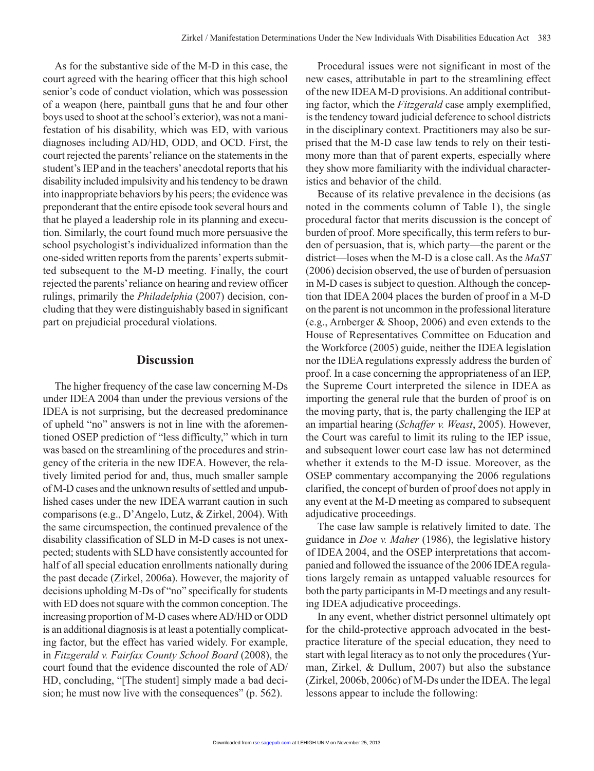As for the substantive side of the M-D in this case, the court agreed with the hearing officer that this high school senior's code of conduct violation, which was possession of a weapon (here, paintball guns that he and four other boys used to shoot at the school's exterior), was not a manifestation of his disability, which was ED, with various diagnoses including AD/HD, ODD, and OCD. First, the court rejected the parents' reliance on the statements in the student's IEP and in the teachers' anecdotal reports that his disability included impulsivity and his tendency to be drawn into inappropriate behaviors by his peers; the evidence was preponderant that the entire episode took several hours and that he played a leadership role in its planning and execution. Similarly, the court found much more persuasive the school psychologist's individualized information than the one-sided written reports from the parents' experts submitted subsequent to the M-D meeting. Finally, the court rejected the parents' reliance on hearing and review officer rulings, primarily the *Philadelphia* (2007) decision, concluding that they were distinguishably based in significant part on prejudicial procedural violations.

#### **Discussion**

The higher frequency of the case law concerning M-Ds under IDEA 2004 than under the previous versions of the IDEA is not surprising, but the decreased predominance of upheld "no" answers is not in line with the aforementioned OSEP prediction of "less difficulty," which in turn was based on the streamlining of the procedures and stringency of the criteria in the new IDEA. However, the relatively limited period for and, thus, much smaller sample of M-D cases and the unknown results of settled and unpublished cases under the new IDEA warrant caution in such comparisons (e.g., D'Angelo, Lutz, & Zirkel, 2004). With the same circumspection, the continued prevalence of the disability classification of SLD in M-D cases is not unexpected; students with SLD have consistently accounted for half of all special education enrollments nationally during the past decade (Zirkel, 2006a). However, the majority of decisions upholding M-Ds of "no" specifically for students with ED does not square with the common conception. The increasing proportion of M-D cases where AD/HD or ODD is an additional diagnosis is at least a potentially complicating factor, but the effect has varied widely. For example, in *Fitzgerald v. Fairfax County School Board* (2008), the court found that the evidence discounted the role of AD/ HD, concluding, "[The student] simply made a bad decision; he must now live with the consequences" (p. 562).

Procedural issues were not significant in most of the new cases, attributable in part to the streamlining effect of the new IDEA M-D provisions. An additional contributing factor, which the *Fitzgerald* case amply exemplified, is the tendency toward judicial deference to school districts in the disciplinary context. Practitioners may also be surprised that the M-D case law tends to rely on their testimony more than that of parent experts, especially where they show more familiarity with the individual characteristics and behavior of the child.

Because of its relative prevalence in the decisions (as noted in the comments column of Table 1), the single procedural factor that merits discussion is the concept of burden of proof. More specifically, this term refers to burden of persuasion, that is, which party—the parent or the district—loses when the M-D is a close call. As the *MaST* (2006) decision observed, the use of burden of persuasion in M-D cases is subject to question. Although the conception that IDEA 2004 places the burden of proof in a M-D on the parent is not uncommon in the professional literature (e.g., Arnberger & Shoop, 2006) and even extends to the House of Representatives Committee on Education and the Workforce (2005) guide, neither the IDEA legislation nor the IDEA regulations expressly address the burden of proof. In a case concerning the appropriateness of an IEP, the Supreme Court interpreted the silence in IDEA as importing the general rule that the burden of proof is on the moving party, that is, the party challenging the IEP at an impartial hearing (*Schaffer v. Weast*, 2005). However, the Court was careful to limit its ruling to the IEP issue, and subsequent lower court case law has not determined whether it extends to the M-D issue. Moreover, as the OSEP commentary accompanying the 2006 regulations clarified, the concept of burden of proof does not apply in any event at the M-D meeting as compared to subsequent adjudicative proceedings.

The case law sample is relatively limited to date. The guidance in *Doe v. Maher* (1986), the legislative history of IDEA 2004, and the OSEP interpretations that accompanied and followed the issuance of the 2006 IDEA regulations largely remain as untapped valuable resources for both the party participants in M-D meetings and any resulting IDEA adjudicative proceedings.

In any event, whether district personnel ultimately opt for the child-protective approach advocated in the bestpractice literature of the special education, they need to start with legal literacy as to not only the procedures (Yurman, Zirkel, & Dullum, 2007) but also the substance (Zirkel, 2006b, 2006c) of M-Ds under the IDEA. The legal lessons appear to include the following: